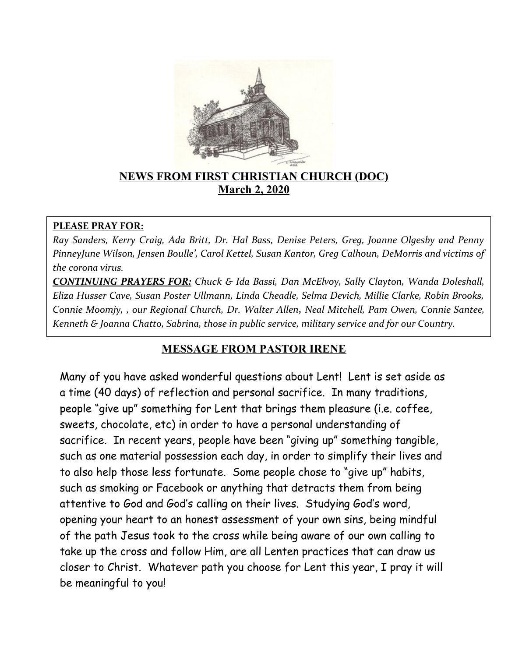

## **NEWS FROM FIRST CHRISTIAN CHURCH (DOC) March 2, 2020**

### **PLEASE PRAY FOR:**

*Ray Sanders, Kerry Craig, Ada Britt, Dr. Hal Bass, Denise Peters, Greg, Joanne Olgesby and Penny PinneyJune Wilson, Jensen Boulle', Carol Kettel, Susan Kantor, Greg Calhoun, DeMorris and victims of the corona virus.* 

*CONTINUING PRAYERS FOR: Chuck & Ida Bassi, Dan McElvoy, Sally Clayton, Wanda Doleshall, Eliza Husser Cave, Susan Poster Ullmann, Linda Cheadle, Selma Devich, Millie Clarke, Robin Brooks, Connie Moomjy, , our Regional Church, Dr. Walter Allen, Neal Mitchell, Pam Owen, Connie Santee, Kenneth & Joanna Chatto, Sabrina, those in public service, military service and for our Country.* 

## **MESSAGE FROM PASTOR IRENE**

Many of you have asked wonderful questions about Lent! Lent is set aside as a time (40 days) of reflection and personal sacrifice. In many traditions, people "give up" something for Lent that brings them pleasure (i.e. coffee, sweets, chocolate, etc) in order to have a personal understanding of sacrifice. In recent years, people have been "giving up" something tangible, such as one material possession each day, in order to simplify their lives and to also help those less fortunate. Some people chose to "give up" habits, such as smoking or Facebook or anything that detracts them from being attentive to God and God's calling on their lives. Studying God's word, opening your heart to an honest assessment of your own sins, being mindful of the path Jesus took to the cross while being aware of our own calling to take up the cross and follow Him, are all Lenten practices that can draw us closer to Christ. Whatever path you choose for Lent this year, I pray it will be meaningful to you!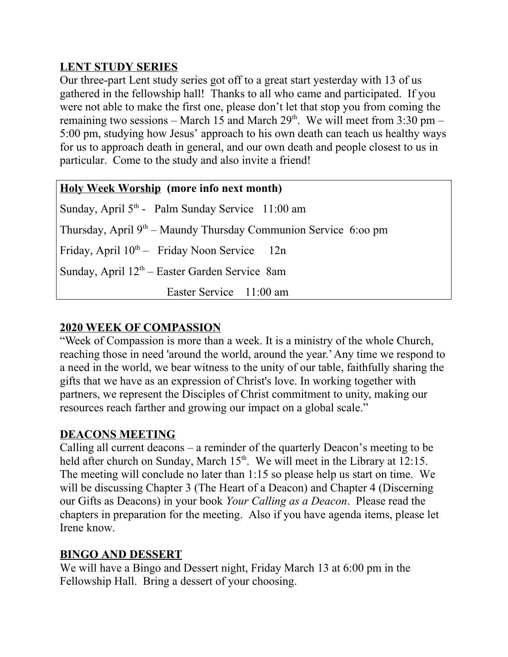# **LENT STUDY SERIES**

Our three-part Lent study series got off to a great start yesterday with 13 of us gathered in the fellowship hall! Thanks to all who came and participated. If you were not able to make the first one, please don't let that stop you from coming the remaining two sessions – March 15 and March  $29<sup>th</sup>$ . We will meet from 3:30 pm – 5:00 pm, studying how Jesus' approach to his own death can teach us healthy ways for us to approach death in general, and our own death and people closest to us in particular. Come to the study and also invite a friend!

| <b>Holy Week Worship</b> (more info next month)                   |  |  |  |  |
|-------------------------------------------------------------------|--|--|--|--|
| Sunday, April $5th$ - Palm Sunday Service 11:00 am                |  |  |  |  |
| Thursday, April $9th$ – Maundy Thursday Communion Service 6:00 pm |  |  |  |  |
| Friday, April $10^{th}$ – Friday Noon Service 12n                 |  |  |  |  |
| Sunday, April $12th$ – Easter Garden Service 8am                  |  |  |  |  |
| Easter Service 11:00 am                                           |  |  |  |  |

# **2020 WEEK OF COMPASSION**

"Week of Compassion is more than a week. It is a ministry of the whole Church, reaching those in need 'around the world, around the year.' Any time we respond to a need in the world, we bear witness to the unity of our table, faithfully sharing the gifts that we have as an expression of Christ's love. In working together with partners, we represent the Disciples of Christ commitment to unity, making our resources reach farther and growing our impact on a global scale."

## **DEACONS MEETING**

Calling all current deacons – a reminder of the quarterly Deacon's meeting to be held after church on Sunday, March  $15<sup>th</sup>$ . We will meet in the Library at 12:15. The meeting will conclude no later than 1:15 so please help us start on time. We will be discussing Chapter 3 (The Heart of a Deacon) and Chapter 4 (Discerning our Gifts as Deacons) in your book *Your Calling as a Deacon*. Please read the chapters in preparation for the meeting. Also if you have agenda items, please let Irene know.

## **BINGO AND DESSERT**

We will have a Bingo and Dessert night, Friday March 13 at 6:00 pm in the Fellowship Hall. Bring a dessert of your choosing.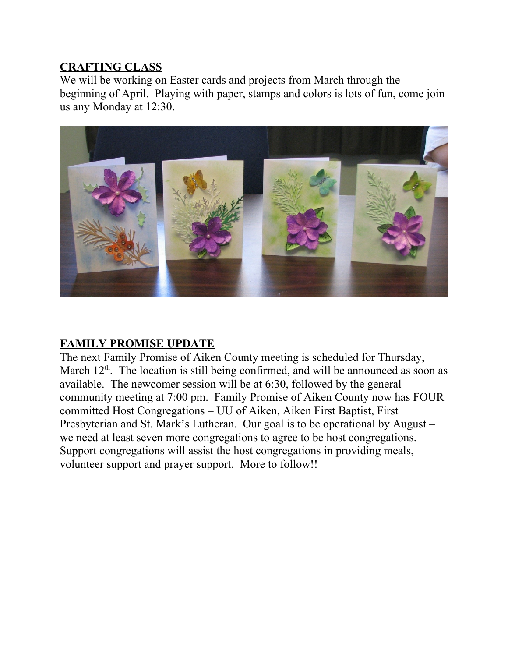## **CRAFTING CLASS**

We will be working on Easter cards and projects from March through the beginning of April. Playing with paper, stamps and colors is lots of fun, come join us any Monday at 12:30.



# **FAMILY PROMISE UPDATE**

The next Family Promise of Aiken County meeting is scheduled for Thursday, March  $12<sup>th</sup>$ . The location is still being confirmed, and will be announced as soon as available. The newcomer session will be at 6:30, followed by the general community meeting at 7:00 pm. Family Promise of Aiken County now has FOUR committed Host Congregations – UU of Aiken, Aiken First Baptist, First Presbyterian and St. Mark's Lutheran. Our goal is to be operational by August – we need at least seven more congregations to agree to be host congregations. Support congregations will assist the host congregations in providing meals, volunteer support and prayer support. More to follow!!